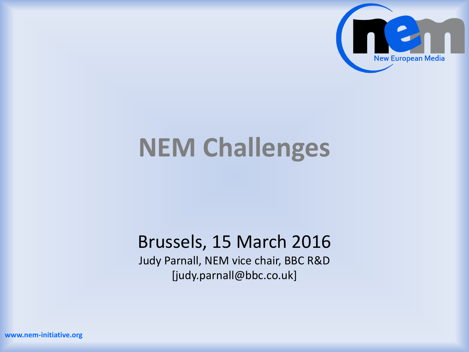

# **NEM Challenges**

#### Brussels, 15 March 2016

Judy Parnall, NEM vice chair, BBC R&D [judy.parnall@bbc.co.uk]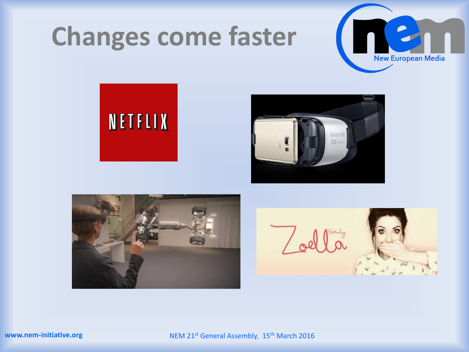## **Changes come faster**









NEM 21<sup>st</sup> General Assembly, 15<sup>th</sup> March 2016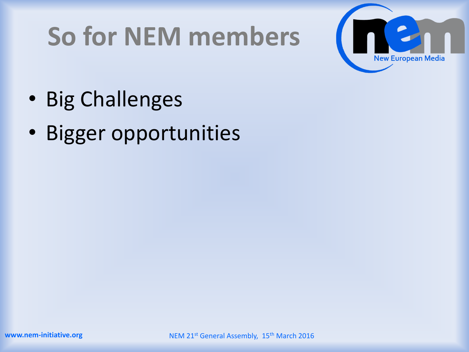# **So for NEM members**



- Big Challenges
- Bigger opportunities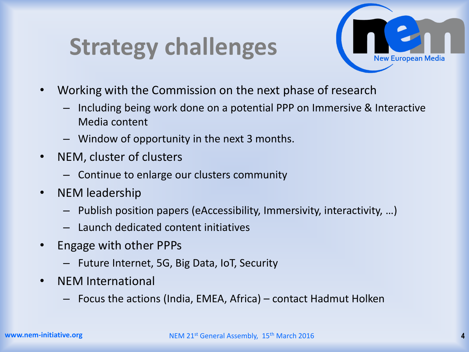### **Strategy challenges**



- Working with the Commission on the next phase of research
	- Including being work done on a potential PPP on Immersive & Interactive Media content
	- Window of opportunity in the next 3 months.
- NEM, cluster of clusters
	- Continue to enlarge our clusters community
- NEM leadership
	- Publish position papers (eAccessibility, Immersivity, interactivity, …)
	- Launch dedicated content initiatives
- Engage with other PPPs
	- Future Internet, 5G, Big Data, IoT, Security
- NEM International
	- Focus the actions (India, EMEA, Africa) contact Hadmut Holken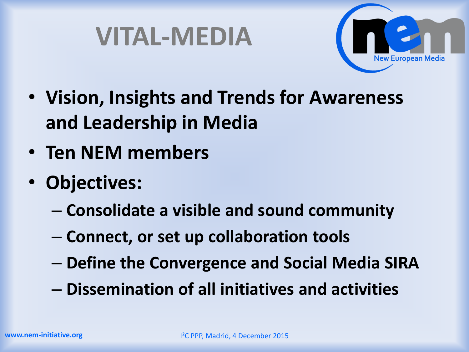



- **Vision, Insights and Trends for Awareness and Leadership in Media**
- **Ten NEM members**
- **Objectives:**
	- **Consolidate a visible and sound community**
	- **Connect, or set up collaboration tools**
	- **Define the Convergence and Social Media SIRA**
	- **Dissemination of all initiatives and activities**